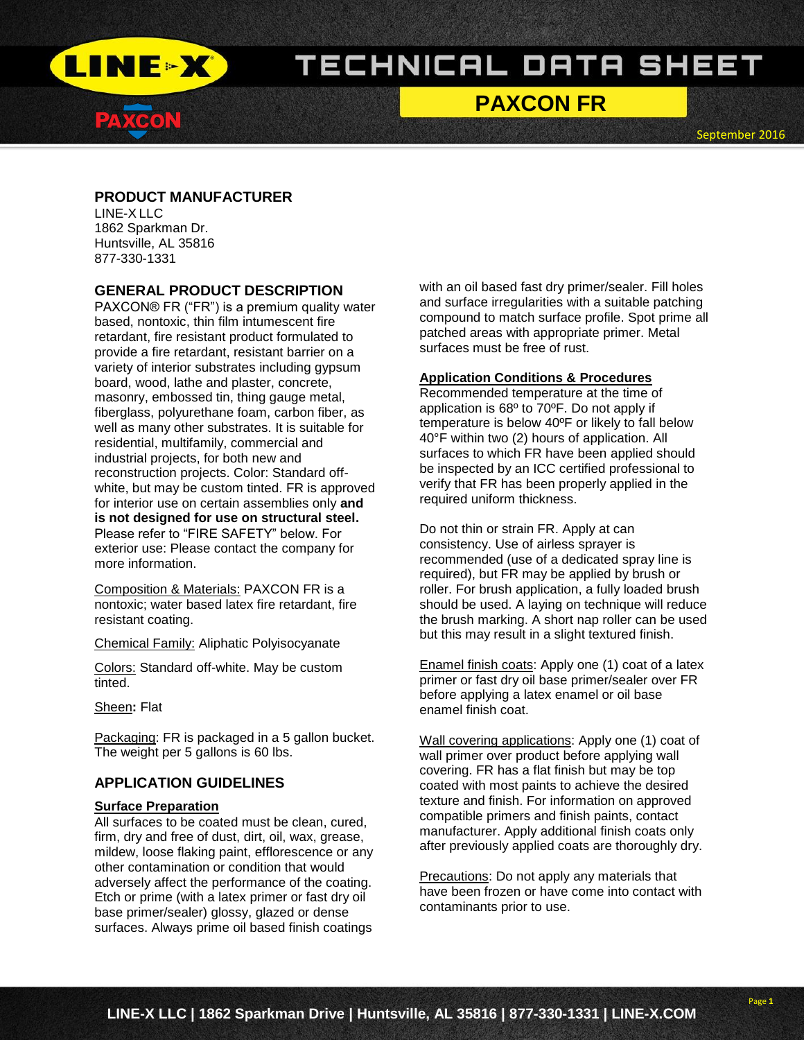

# **PAXCON FR**

September 2016

# **PRODUCT MANUFACTURER**

LINE-X LLC 1862 Sparkman Dr. Huntsville, AL 35816 877-330-1331

# **GENERAL PRODUCT DESCRIPTION**

PAXCON® FR ("FR") is a premium quality water based, nontoxic, thin film intumescent fire retardant, fire resistant product formulated to provide a fire retardant, resistant barrier on a variety of interior substrates including gypsum board, wood, lathe and plaster, concrete, masonry, embossed tin, thing gauge metal, fiberglass, polyurethane foam, carbon fiber, as well as many other substrates. It is suitable for residential, multifamily, commercial and industrial projects, for both new and reconstruction projects. Color: Standard offwhite, but may be custom tinted. FR is approved for interior use on certain assemblies only **and is not designed for use on structural steel.** Please refer to "FIRE SAFETY" below. For exterior use: Please contact the company for more information.

Composition & Materials: PAXCON FR is a nontoxic; water based latex fire retardant, fire resistant coating.

Chemical Family: Aliphatic Polyisocyanate

Colors: Standard off-white. May be custom tinted.

Sheen**:** Flat

Packaging: FR is packaged in a 5 gallon bucket. The weight per 5 gallons is 60 lbs.

# **APPLICATION GUIDELINES**

#### **Surface Preparation**

All surfaces to be coated must be clean, cured, firm, dry and free of dust, dirt, oil, wax, grease, mildew, loose flaking paint, efflorescence or any other contamination or condition that would adversely affect the performance of the coating. Etch or prime (with a latex primer or fast dry oil base primer/sealer) glossy, glazed or dense surfaces. Always prime oil based finish coatings

with an oil based fast dry primer/sealer. Fill holes and surface irregularities with a suitable patching compound to match surface profile. Spot prime all patched areas with appropriate primer. Metal surfaces must be free of rust.

#### **Application Conditions & Procedures**

Recommended temperature at the time of application is 68º to 70ºF. Do not apply if temperature is below 40ºF or likely to fall below 40°F within two (2) hours of application. All surfaces to which FR have been applied should be inspected by an ICC certified professional to verify that FR has been properly applied in the required uniform thickness.

Do not thin or strain FR. Apply at can consistency. Use of airless sprayer is recommended (use of a dedicated spray line is required), but FR may be applied by brush or roller. For brush application, a fully loaded brush should be used. A laying on technique will reduce the brush marking. A short nap roller can be used but this may result in a slight textured finish.

Enamel finish coats: Apply one (1) coat of a latex primer or fast dry oil base primer/sealer over FR before applying a latex enamel or oil base enamel finish coat.

Wall covering applications: Apply one (1) coat of wall primer over product before applying wall covering. FR has a flat finish but may be top coated with most paints to achieve the desired texture and finish. For information on approved compatible primers and finish paints, contact manufacturer. Apply additional finish coats only after previously applied coats are thoroughly dry.

Precautions: Do not apply any materials that have been frozen or have come into contact with contaminants prior to use.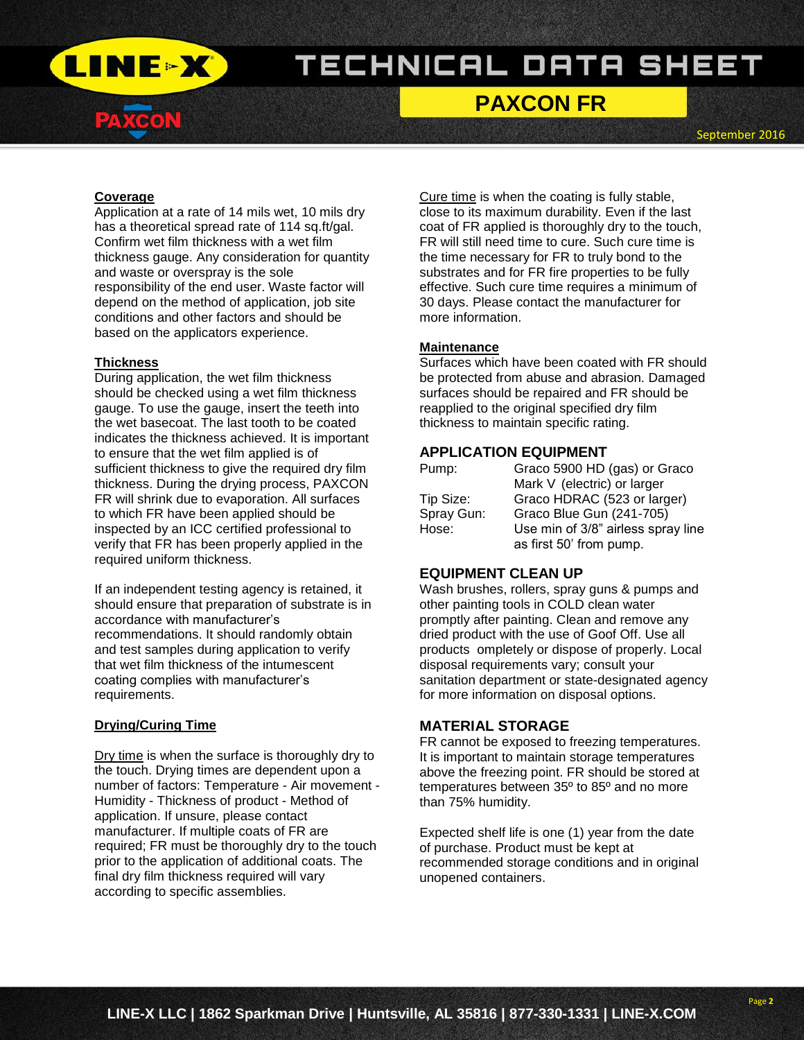

# **PAXCON FR**

September 2016

#### **Coverage**

Application at a rate of 14 mils wet, 10 mils dry has a theoretical spread rate of 114 sq.ft/gal. Confirm wet film thickness with a wet film thickness gauge. Any consideration for quantity and waste or overspray is the sole responsibility of the end user. Waste factor will depend on the method of application, job site conditions and other factors and should be based on the applicators experience.

#### **Thickness**

During application, the wet film thickness should be checked using a wet film thickness gauge. To use the gauge, insert the teeth into the wet basecoat. The last tooth to be coated indicates the thickness achieved. It is important to ensure that the wet film applied is of sufficient thickness to give the required dry film thickness. During the drying process, PAXCON FR will shrink due to evaporation. All surfaces to which FR have been applied should be inspected by an ICC certified professional to verify that FR has been properly applied in the required uniform thickness.

If an independent testing agency is retained, it should ensure that preparation of substrate is in accordance with manufacturer's recommendations. It should randomly obtain and test samples during application to verify that wet film thickness of the intumescent coating complies with manufacturer's requirements.

### **Drying/Curing Time**

Dry time is when the surface is thoroughly dry to the touch. Drying times are dependent upon a number of factors: Temperature - Air movement - Humidity - Thickness of product - Method of application. If unsure, please contact manufacturer. If multiple coats of FR are required; FR must be thoroughly dry to the touch prior to the application of additional coats. The final dry film thickness required will vary according to specific assemblies.

Cure time is when the coating is fully stable, close to its maximum durability. Even if the last coat of FR applied is thoroughly dry to the touch, FR will still need time to cure. Such cure time is the time necessary for FR to truly bond to the substrates and for FR fire properties to be fully effective. Such cure time requires a minimum of 30 days. Please contact the manufacturer for more information.

#### **Maintenance**

Surfaces which have been coated with FR should be protected from abuse and abrasion. Damaged surfaces should be repaired and FR should be reapplied to the original specified dry film thickness to maintain specific rating.

#### **APPLICATION EQUIPMENT**

| Pump:      | Graco 5900 HD (gas) or Graco       |
|------------|------------------------------------|
|            | Mark V (electric) or larger        |
| Tip Size:  | Graco HDRAC (523 or larger)        |
| Spray Gun: | Graco Blue Gun (241-705)           |
| Hose:      | Use min of 3/8" airless spray line |
|            | as first 50' from pump.            |

### **EQUIPMENT CLEAN UP**

Wash brushes, rollers, spray guns & pumps and other painting tools in COLD clean water promptly after painting. Clean and remove any dried product with the use of Goof Off. Use all products ompletely or dispose of properly. Local disposal requirements vary; consult your sanitation department or state-designated agency for more information on disposal options.

# **MATERIAL STORAGE**

FR cannot be exposed to freezing temperatures. It is important to maintain storage temperatures above the freezing point. FR should be stored at temperatures between 35º to 85º and no more than 75% humidity.

Expected shelf life is one (1) year from the date of purchase. Product must be kept at recommended storage conditions and in original unopened containers.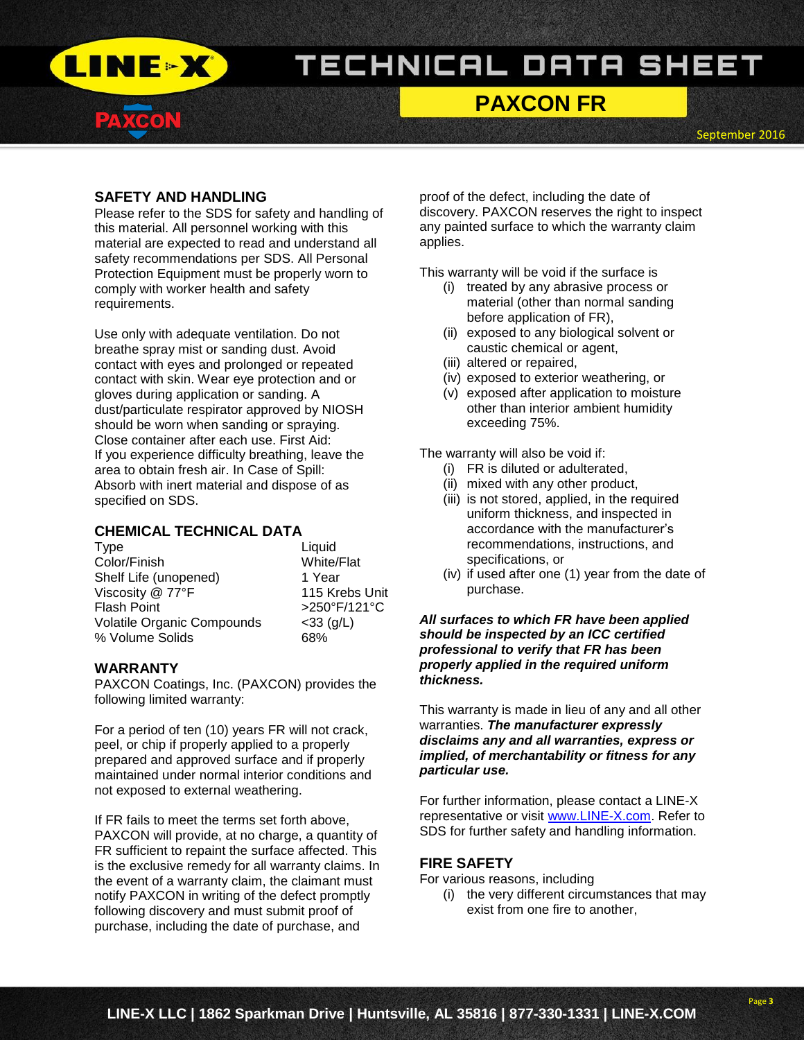

# **PAXCON FR**

September 2016

## **SAFETY AND HANDLING**

Please refer to the SDS for safety and handling of this material. All personnel working with this material are expected to read and understand all safety recommendations per SDS. All Personal Protection Equipment must be properly worn to comply with worker health and safety requirements.

Use only with adequate ventilation. Do not breathe spray mist or sanding dust. Avoid contact with eyes and prolonged or repeated contact with skin. Wear eye protection and or gloves during application or sanding. A dust/particulate respirator approved by NIOSH should be worn when sanding or spraying. Close container after each use. First Aid: If you experience difficulty breathing, leave the area to obtain fresh air. In Case of Spill: Absorb with inert material and dispose of as specified on SDS.

## **CHEMICAL TECHNICAL DATA**

| <b>Type</b>                | Liquid         |
|----------------------------|----------------|
| Color/Finish               | White/Flat     |
| Shelf Life (unopened)      | 1 Year         |
| Viscosity @ 77°F           | 115 Krebs Unit |
| <b>Flash Point</b>         | >250°F/121°C   |
| Volatile Organic Compounds | $<$ 33 (g/L)   |
| % Volume Solids            | 68%            |

### **WARRANTY**

PAXCON Coatings, Inc. (PAXCON) provides the following limited warranty:

For a period of ten (10) years FR will not crack, peel, or chip if properly applied to a properly prepared and approved surface and if properly maintained under normal interior conditions and not exposed to external weathering.

If FR fails to meet the terms set forth above, PAXCON will provide, at no charge, a quantity of FR sufficient to repaint the surface affected. This is the exclusive remedy for all warranty claims. In the event of a warranty claim, the claimant must notify PAXCON in writing of the defect promptly following discovery and must submit proof of purchase, including the date of purchase, and

proof of the defect, including the date of discovery. PAXCON reserves the right to inspect any painted surface to which the warranty claim applies.

This warranty will be void if the surface is

- (i) treated by any abrasive process or material (other than normal sanding before application of FR),
- (ii) exposed to any biological solvent or caustic chemical or agent,
- (iii) altered or repaired,
- (iv) exposed to exterior weathering, or
- (v) exposed after application to moisture other than interior ambient humidity exceeding 75%.

The warranty will also be void if:

- (i) FR is diluted or adulterated,
- (ii) mixed with any other product,
- (iii) is not stored, applied, in the required uniform thickness, and inspected in accordance with the manufacturer's recommendations, instructions, and specifications, or
- (iv) if used after one (1) year from the date of purchase.

#### *All surfaces to which FR have been applied should be inspected by an ICC certified professional to verify that FR has been properly applied in the required uniform thickness.*

This warranty is made in lieu of any and all other warranties. *The manufacturer expressly disclaims any and all warranties, express or implied, of merchantability or fitness for any particular use.*

For further information, please contact a LINE-X representative or visit [www.LINE-X.com.](http://www.line-x.com/) Refer to SDS for further safety and handling information.

### **FIRE SAFETY**

For various reasons, including

(i) the very different circumstances that may exist from one fire to another,